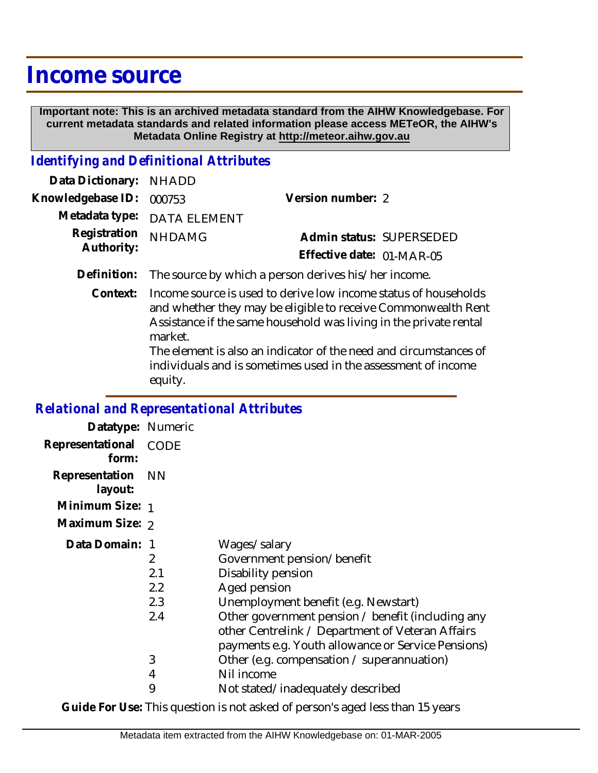# **Income source**

 **Important note: This is an archived metadata standard from the AIHW Knowledgebase. For current metadata standards and related information please access METeOR, the AIHW's Metadata Online Registry at http://meteor.aihw.gov.au**

### *Identifying and Definitional Attributes*

| Data Dictionary: NHADD            |                             |                           |  |
|-----------------------------------|-----------------------------|---------------------------|--|
| Knowledgebase ID: 000753          |                             | Version number: 2         |  |
|                                   | Metadata type: DATA ELEMENT |                           |  |
| Registration NHDAMG<br>Authority: |                             | Admin status: SUPERSEDED  |  |
|                                   |                             | Effective date: 01-MAR-05 |  |
|                                   |                             |                           |  |

- **Definition:** The source by which a person derives his/her income.
	- Income source is used to derive low income status of households and whether they may be eligible to receive Commonwealth Rent Assistance if the same household was living in the private rental market. The element is also an indicator of the need and circumstances of **Context:**

individuals and is sometimes used in the assessment of income equity.

### *Relational and Representational Attributes*

| Datatype: Numeric         |                                    |                                                                                                                                                                                                                                                                                                                                                     |
|---------------------------|------------------------------------|-----------------------------------------------------------------------------------------------------------------------------------------------------------------------------------------------------------------------------------------------------------------------------------------------------------------------------------------------------|
| Representational<br>form: | CODE                               |                                                                                                                                                                                                                                                                                                                                                     |
| Representation<br>layout: | – NN                               |                                                                                                                                                                                                                                                                                                                                                     |
| Minimum Size: 1           |                                    |                                                                                                                                                                                                                                                                                                                                                     |
| Maximum Size: 2           |                                    |                                                                                                                                                                                                                                                                                                                                                     |
| Data Domain: 1            | 2<br>2.1<br>2.2<br>2.3<br>2.4<br>3 | Wages/salary<br>Government pension/benefit<br>Disability pension<br>Aged pension<br>Unemployment benefit (e.g. Newstart)<br>Other government pension / benefit (including any<br>other Centrelink / Department of Veteran Affairs<br>payments e.g. Youth allowance or Service Pensions)<br>Other (e.g. compensation / superannuation)<br>Nil income |
|                           | 4<br>9                             | Not stated/inadequately described                                                                                                                                                                                                                                                                                                                   |
|                           |                                    |                                                                                                                                                                                                                                                                                                                                                     |

**Guide For Use:** This question is not asked of person's aged less than 15 years